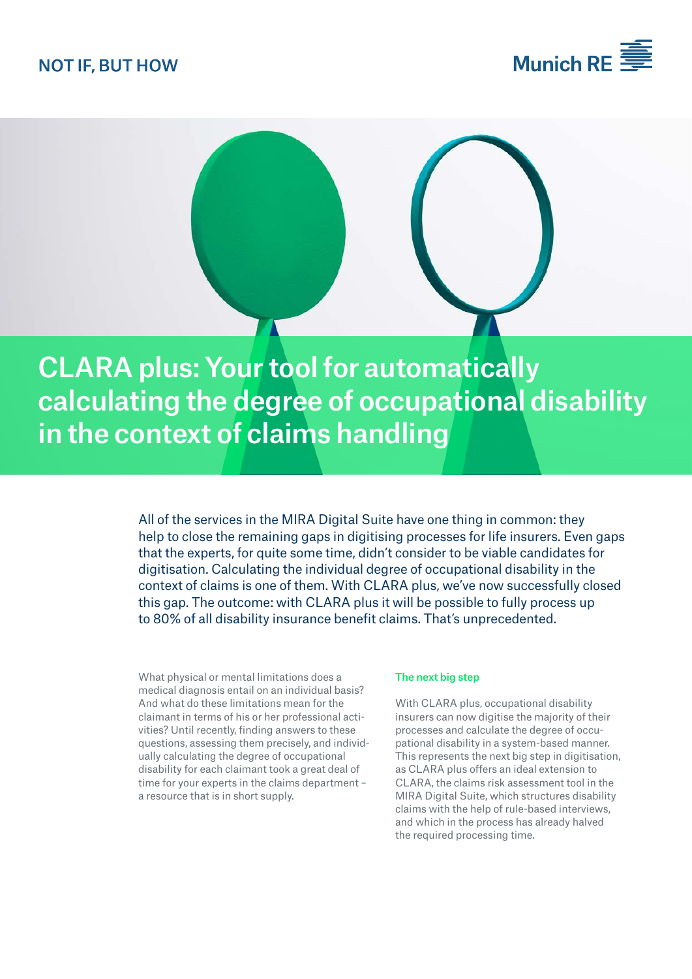## **NOT IF, BUT HOW**





CLARA plus: Your tool for automatically calculating the degree of occupational disability in the context of claims handling

> All of the services in the MIRA Digital Suite have one thing in common: they help to close the remaining gaps in digitising processes for life insurers. Even gaps that the experts, for quite some time, didn't consider to be viable candidates for digitisation. Calculating the individual degree of occupational disability in the context of claims is one of them. With CLARA plus, we've now successfully closed this gap. The outcome: with CLARA plus it will be possible to fully process up to 80% of all disability insurance benefit claims. That's unprecedented.

What physical or mental limitations does a medical diagnosis entail on an individual basis? And what do these limitations mean for the claimant in terms of his or her professional activities? Until recently, finding answers to these questions, assessing them precisely, and individually calculating the degree of occupational disability for each claimant took a great deal of time for your experts in the claims department – a resource that is in short supply.

#### The next big step

With CLARA plus, occupational disability insurers can now digitise the majority of their processes and calculate the degree of occupational disability in a system-based manner. This represents the next big step in digitisation, as CLARA plus offers an ideal extension to CLARA, the claims risk assessment tool in the MIRA Digital Suite, which structures disability claims with the help of rule-based interviews, and which in the process has already halved the required processing time.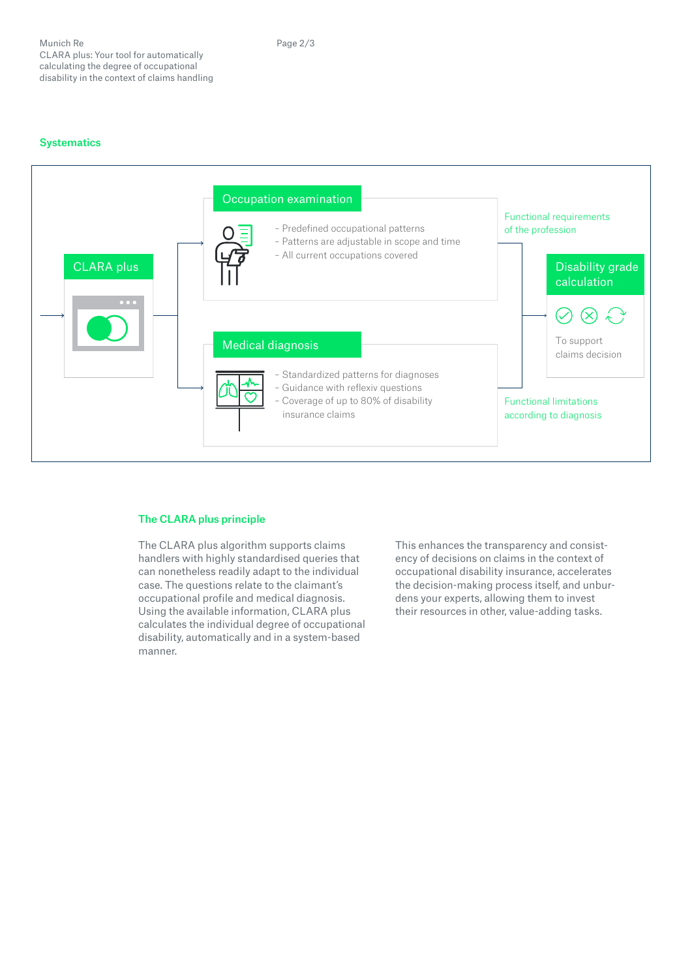

### The CLARA plus principle

The CLARA plus algorithm supports claims handlers with highly standardised queries that can nonetheless readily adapt to the individual case. The questions relate to the claimant's occupational profile and medical diagnosis. Using the available information, CLARA plus calculates the individual degree of occupational disability, automatically and in a system-based manner.

This enhances the transparency and consistency of decisions on claims in the context of occupational disability insurance, accelerates the decision-making process itself, and unburdens your experts, allowing them to invest their resources in other, value-adding tasks.